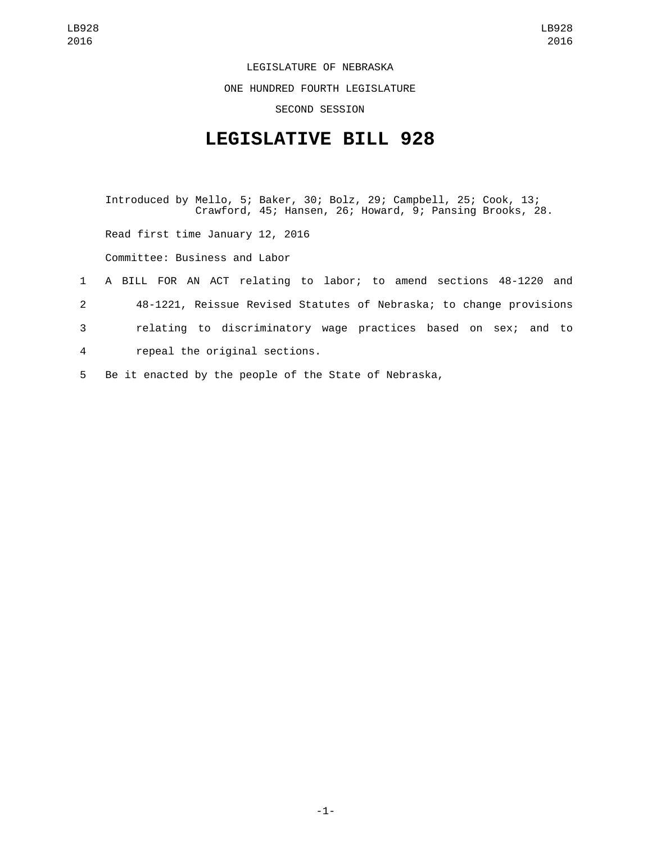LEGISLATURE OF NEBRASKA

ONE HUNDRED FOURTH LEGISLATURE

SECOND SESSION

## **LEGISLATIVE BILL 928**

Introduced by Mello, 5; Baker, 30; Bolz, 29; Campbell, 25; Cook, 13; Crawford, 45; Hansen, 26; Howard, 9; Pansing Brooks, 28. Read first time January 12, 2016 Committee: Business and Labor 1 A BILL FOR AN ACT relating to labor; to amend sections 48-1220 and 2 48-1221, Reissue Revised Statutes of Nebraska; to change provisions 3 relating to discriminatory wage practices based on sex; and to

repeal the original sections.4

5 Be it enacted by the people of the State of Nebraska,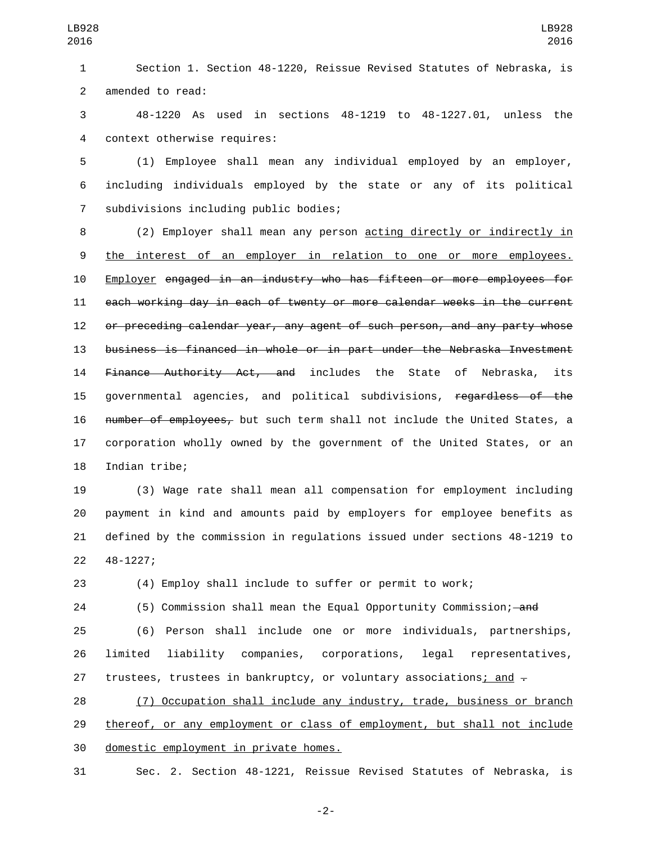1 Section 1. Section 48-1220, Reissue Revised Statutes of Nebraska, is 2 amended to read:

3 48-1220 As used in sections 48-1219 to 48-1227.01, unless the 4 context otherwise requires:

5 (1) Employee shall mean any individual employed by an employer, 6 including individuals employed by the state or any of its political 7 subdivisions including public bodies;

8 (2) Employer shall mean any person <u>acting directly or indirectly in</u> 9 the interest of an employer in relation to one or more employees. 10 Employer engaged in an industry who has fifteen or more employees for 11 each working day in each of twenty or more calendar weeks in the current 12 or preceding calendar year, any agent of such person, and any party whose 13 business is financed in whole or in part under the Nebraska Investment 14 Finance Authority Act, and includes the State of Nebraska, its 15 governmental agencies, and political subdivisions, regardless of the 16 number of employees, but such term shall not include the United States, a 17 corporation wholly owned by the government of the United States, or an 18 Indian tribe;

 (3) Wage rate shall mean all compensation for employment including payment in kind and amounts paid by employers for employee benefits as defined by the commission in regulations issued under sections 48-1219 to 22 48-1227;

23 (4) Employ shall include to suffer or permit to work;

24 (5) Commission shall mean the Equal Opportunity Commission; — and

25 (6) Person shall include one or more individuals, partnerships, 26 limited liability companies, corporations, legal representatives, 27 trustees, trustees in bankruptcy, or voluntary associations; and  $\overline{z}$ 

28 (7) Occupation shall include any industry, trade, business or branch 29 thereof, or any employment or class of employment, but shall not include 30 domestic employment in private homes.

31 Sec. 2. Section 48-1221, Reissue Revised Statutes of Nebraska, is

-2-